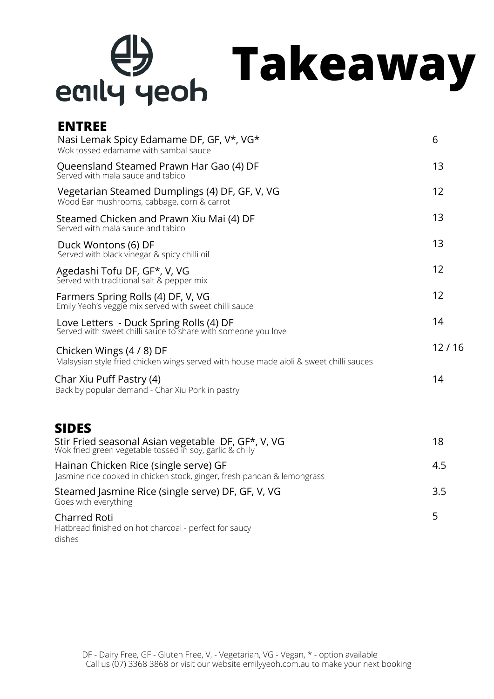## $\bigoplus$ **Takeaway** eaily yeoh

## **ENTREE**

| Nasi Lemak Spicy Edamame DF, GF, V*, VG*<br>Wok tossed edamame with sambal sauce                                   | 6     |
|--------------------------------------------------------------------------------------------------------------------|-------|
| Queensland Steamed Prawn Har Gao (4) DF<br>Served with mala sauce and tabico                                       | 13    |
| Vegetarian Steamed Dumplings (4) DF, GF, V, VG<br>Wood Ear mushrooms, cabbage, corn & carrot                       | 12    |
| Steamed Chicken and Prawn Xiu Mai (4) DF<br>Served with mala sauce and tabico                                      | 13    |
| Duck Wontons (6) DF<br>Served with black vinegar & spicy chilli oil                                                | 13    |
| Agedashi Tofu DF, GF*, V, VG<br>Served with traditional salt & pepper mix                                          | 12    |
| Farmers Spring Rolls (4) DF, V, VG<br>Emily Yeoh's veggie mix served with sweet chilli sauce                       | 12    |
| Love Letters - Duck Spring Rolls (4) DF<br>Served with sweet chilli sauce to share with someone you love           | 14    |
| Chicken Wings (4 / 8) DF<br>Malaysian style fried chicken wings served with house made aioli & sweet chilli sauces | 12/16 |
| Char Xiu Puff Pastry (4)<br>Back by popular demand - Char Xiu Pork in pastry                                       | 14    |
| <b>SIDES</b>                                                                                                       |       |
| Stir Fried seasonal Asian vegetable DF, GF*, V, VG Wok fried green vegetable tossed in soy, garlic & chilly        | 18    |
| Hainan Chicken Rice (single serve) GF<br>Jasmine rice cooked in chicken stock, ginger, fresh pandan & lemongrass   | 4.5   |
| Steamed Jasmine Rice (single serve) DF, GF, V, VG<br>Goes with everything                                          | 3.5   |
| <b>Charred Roti</b><br>Flatbread finished on hot charcoal - perfect for saucy<br>dishes                            | 5     |